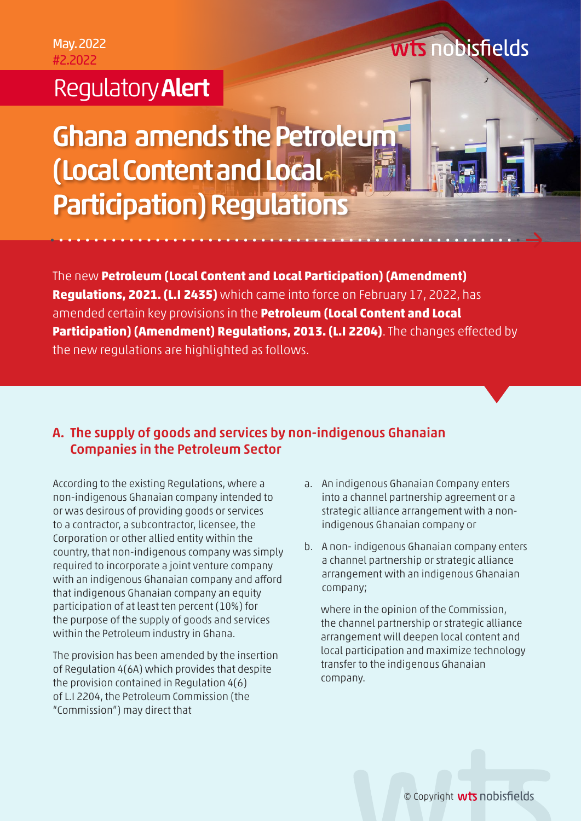### Regulatory Alert

# Ghana amends the Petroleum (Local Content and Local Participation) Regulations

The new **Petroleum (Local Content and Local Participation) (Amendment) Regulations, 2021. (L.I 2435)** which came into force on February 17, 2022, has amended certain key provisions in the **Petroleum (Local Content and Local Participation) (Amendment) Regulations, 2013. (L.I 2204)**. The changes effected by the new regulations are highlighted as follows.

### A. The supply of goods and services by non-indigenous Ghanaian Companies in the Petroleum Sector

According to the existing Regulations, where a non-indigenous Ghanaian company intended to or was desirous of providing goods or services to a contractor, a subcontractor, licensee, the Corporation or other allied entity within the country, that non-indigenous company was simply required to incorporate a joint venture company with an indigenous Ghanaian company and afford that indigenous Ghanaian company an equity participation of at least ten percent (10%) for the purpose of the supply of goods and services within the Petroleum industry in Ghana.

The provision has been amended by the insertion of Regulation 4(6A) which provides that despite the provision contained in Regulation 4(6) of L.I 2204, the Petroleum Commission (the "Commission") may direct that

a. An indigenous Ghanaian Company enters into a channel partnership agreement or a strategic alliance arrangement with a nonindigenous Ghanaian company or

**Wts** nobisfields

b. A non- indigenous Ghanaian company enters a channel partnership or strategic alliance arrangement with an indigenous Ghanaian company;

where in the opinion of the Commission, the channel partnership or strategic alliance arrangement will deepen local content and local participation and maximize technology transfer to the indigenous Ghanaian company.

© Copyright **wts** nobisfields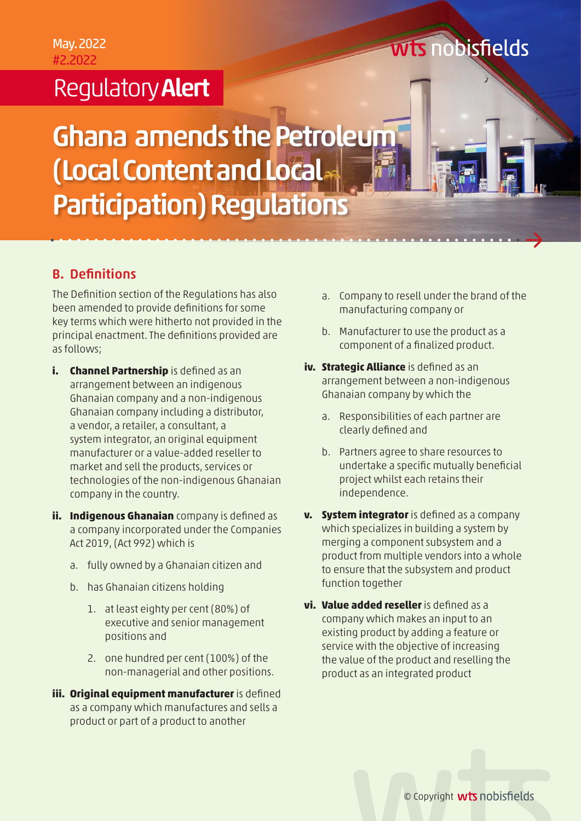## Regulatory Alert

# Ghana amends the Petroleum (Local Content and Local Participation) Regulations

### B. Definitions

The Definition section of the Regulations has also been amended to provide definitions for some key terms which were hitherto not provided in the principal enactment. The definitions provided are as follows;

- **i. Channel Partnership** is defined as an arrangement between an indigenous Ghanaian company and a non-indigenous Ghanaian company including a distributor, a vendor, a retailer, a consultant, a system integrator, an original equipment manufacturer or a value-added reseller to market and sell the products, services or technologies of the non-indigenous Ghanaian company in the country.
- **ii. Indigenous Ghanaian** company is defined as a company incorporated under the Companies Act 2019, (Act 992) which is
	- a. fully owned by a Ghanaian citizen and
	- b. has Ghanaian citizens holding
		- 1. at least eighty per cent (80%) of executive and senior management positions and
		- 2. one hundred per cent (100%) of the non-managerial and other positions.
- **iii. Original equipment manufacturer** is defined as a company which manufactures and sells a product or part of a product to another
- a. Company to resell under the brand of the manufacturing company or
- b. Manufacturer to use the product as a component of a finalized product.
- **iv. Strategic Alliance** is defined as an arrangement between a non-indigenous Ghanaian company by which the
	- a. Responsibilities of each partner are clearly defined and
	- b. Partners agree to share resources to undertake a specific mutually beneficial project whilst each retains their independence.
- **v. System integrator** is defined as a company which specializes in building a system by merging a component subsystem and a product from multiple vendors into a whole to ensure that the subsystem and product function together
- **vi. Value added reseller** is defined as a company which makes an input to an existing product by adding a feature or service with the objective of increasing the value of the product and reselling the product as an integrated product

## **Wts** nobisfields

© Copyright **wts** nobisfields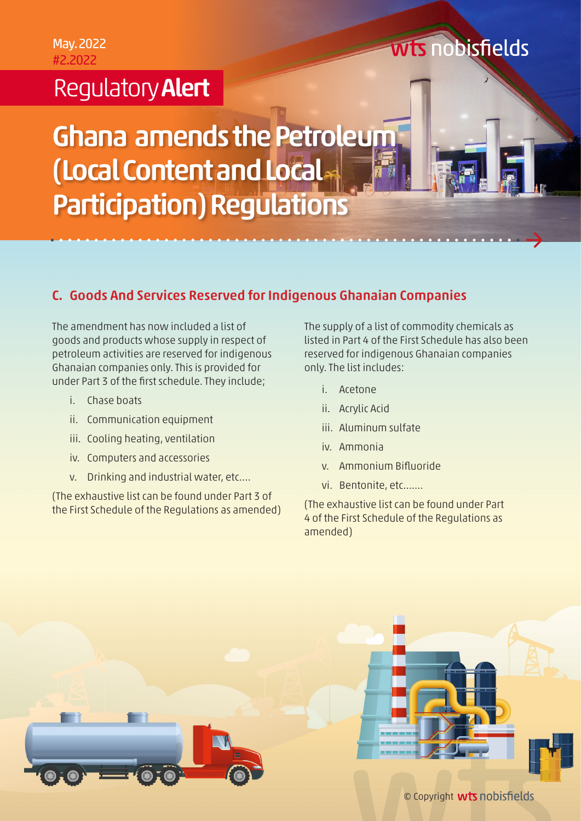## **Regulatory Alert**

# Ghana amends the Petroleum (Local Content and Local Participation) Regulations

### C. Goods And Services Reserved for Indigenous Ghanaian Companies

The amendment has now included a list of goods and products whose supply in respect of petroleum activities are reserved for indigenous Ghanaian companies only. This is provided for under Part 3 of the first schedule. They include;

- i. Chase boats
- ii. Communication equipment
- iii. Cooling heating, ventilation
- iv. Computers and accessories
- v. Drinking and industrial water, etc….

(The exhaustive list can be found under Part 3 of the First Schedule of the Regulations as amended) The supply of a list of commodity chemicals as listed in Part 4 of the First Schedule has also been reserved for indigenous Ghanaian companies only. The list includes:

- i. Acetone
- ii. Acrylic Acid
- iii. Aluminum sulfate
- iv. Ammonia
- v. Ammonium Bifluoride
- vi. Bentonite, etc…….

(The exhaustive list can be found under Part 4 of the First Schedule of the Regulations as amended)



### **Wts nobisfields**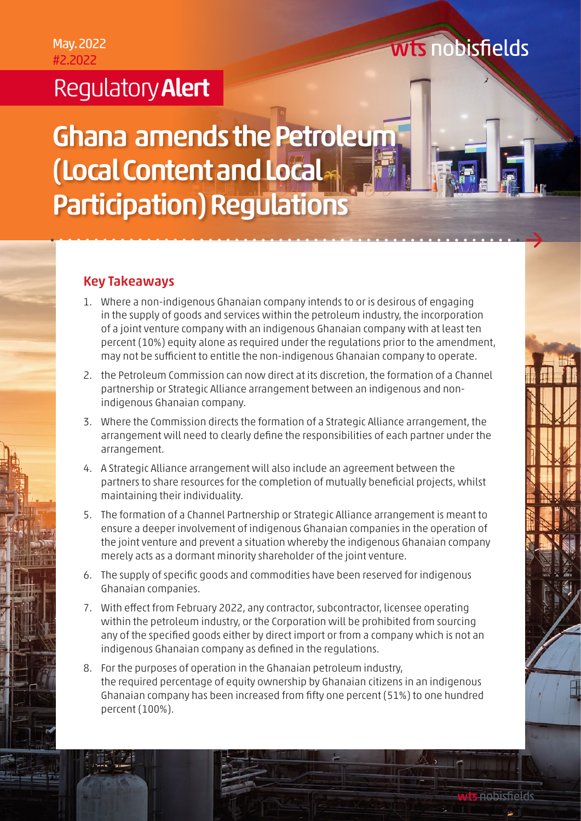### Regulatory Alert

# Ghana amends the Petroleum (Local Content and Local Participation) Regulations

### Key Takeaways

- 1. Where a non-indigenous Ghanaian company intends to or is desirous of engaging in the supply of goods and services within the petroleum industry, the incorporation of a joint venture company with an indigenous Ghanaian company with at least ten percent (10%) equity alone as required under the regulations prior to the amendment, may not be sufficient to entitle the non-indigenous Ghanaian company to operate.
- 2. the Petroleum Commission can now direct at its discretion, the formation of a Channel partnership or Strategic Alliance arrangement between an indigenous and nonindigenous Ghanaian company.
- 3. Where the Commission directs the formation of a Strategic Alliance arrangement, the arrangement will need to clearly define the responsibilities of each partner under the arrangement.
- 4. A Strategic Alliance arrangement will also include an agreement between the partners to share resources for the completion of mutually beneficial projects, whilst maintaining their individuality.
- 5. The formation of a Channel Partnership or Strategic Alliance arrangement is meant to ensure a deeper involvement of indigenous Ghanaian companies in the operation of the joint venture and prevent a situation whereby the indigenous Ghanaian company merely acts as a dormant minority shareholder of the joint venture.
- 6. The supply of specific goods and commodities have been reserved for indigenous Ghanaian companies.
- 7. With effect from February 2022, any contractor, subcontractor, licensee operating within the petroleum industry, or the Corporation will be prohibited from sourcing any of the specified goods either by direct import or from a company which is not an indigenous Ghanaian company as defined in the regulations.
- 8. For the purposes of operation in the Ghanaian petroleum industry, the required percentage of equity ownership by Ghanaian citizens in an indigenous Ghanaian company has been increased from fifty one percent (51%) to one hundred percent (100%).

© Copyright

**Wis nobisfields** 

wts nobisfields